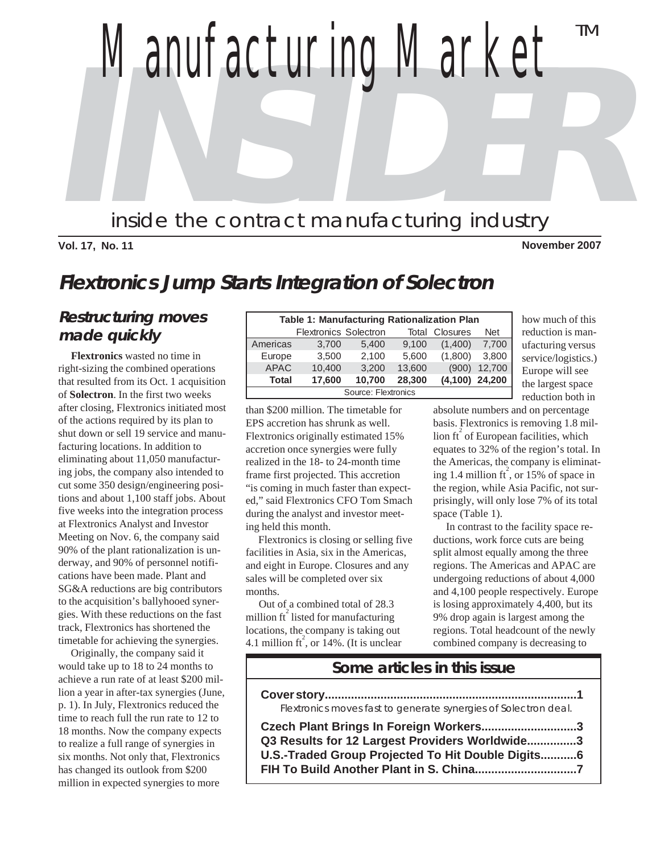**INSTRUCTION** *Manufacturing Market* inside the contract manufacturing industry TM

#### **Vol. 17, No. 11 November 2007**

## **Flextronics Jump Starts Integration of Solectron**

#### **Restructuring moves made quickly**

 **Flextronics** wasted no time in right-sizing the combined operations that resulted from its Oct. 1 acquisition of **Solectron**. In the first two weeks after closing, Flextronics initiated most of the actions required by its plan to shut down or sell 19 service and manufacturing locations. In addition to eliminating about 11,050 manufacturing jobs, the company also intended to cut some 350 design/engineering positions and about 1,100 staff jobs. About five weeks into the integration process at Flextronics Analyst and Investor Meeting on Nov. 6, the company said 90% of the plant rationalization is underway, and 90% of personnel notifications have been made. Plant and SG&A reductions are big contributors to the acquisition's ballyhooed synergies. With these reductions on the fast track, Flextronics has shortened the timetable for achieving the synergies.

 Originally, the company said it would take up to 18 to 24 months to achieve a run rate of at least \$200 million a year in after-tax synergies (June, p. 1). In July, Flextronics reduced the time to reach full the run rate to 12 to 18 months. Now the company expects to realize a full range of synergies in six months. Not only that, Flextronics has changed its outlook from \$200 million in expected synergies to more

| <b>Table 1: Manufacturing Rationalization Plan</b> |                              |        |        |                  |            |  |  |  |  |
|----------------------------------------------------|------------------------------|--------|--------|------------------|------------|--|--|--|--|
|                                                    | <b>Flextronics Solectron</b> |        | Total  | <b>Closures</b>  | <b>Net</b> |  |  |  |  |
| Americas                                           | 3,700                        | 5,400  | 9,100  | (1,400)          | 7.700      |  |  |  |  |
| Europe                                             | 3,500                        | 2,100  | 5,600  | (1,800)          | 3,800      |  |  |  |  |
| <b>APAC</b>                                        | 10,400                       | 3,200  | 13,600 | (900)            | 12,700     |  |  |  |  |
| Total                                              | 17,600                       | 10.700 | 28,300 | $(4,100)$ 24,200 |            |  |  |  |  |
| Source: Flextronics                                |                              |        |        |                  |            |  |  |  |  |

than \$200 million. The timetable for EPS accretion has shrunk as well. Flextronics originally estimated 15% accretion once synergies were fully realized in the 18- to 24-month time frame first projected. This accretion "is coming in much faster than expected," said Flextronics CFO Tom Smach during the analyst and investor meeting held this month.

 Flextronics is closing or selling five facilities in Asia, six in the Americas, and eight in Europe. Closures and any sales will be completed over six months.

 Out of a combined total of 28.3 million  $\operatorname{ft}^2$  listed for manufacturing locations, the company is taking out 4.1 million  $\hat{t}$ , or 14%. (It is unclear

how much of this reduction is manufacturing versus service/logistics.) Europe will see the largest space reduction both in

absolute numbers and on percentage basis. Flextronics is removing 1.8 million  $\operatorname{ft}^2$  of European facilities, which equates to 32% of the region's total. In the Americas, the company is eliminating 1.4 million  $\text{ft}^2$ , or 15% of space in the region, while Asia Pacific, not surprisingly, will only lose 7% of its total space (Table 1).

 In contrast to the facility space reductions, work force cuts are being split almost equally among the three regions. The Americas and APAC are undergoing reductions of about 4,000 and 4,100 people respectively. Europe is losing approximately 4,400, but its 9% drop again is largest among the regions. Total headcount of the newly combined company is decreasing to

#### **Some articles in this issue**

**Cover story.............................................................................1** Flextronics moves fast to generate synergies of Solectron deal.

**Czech Plant Brings In Foreign Workers.............................3 Q3 Results for 12 Largest Providers Worldwide...............3 U.S.-Traded Group Projected To Hit Double Digits...........6 FIH To Build Another Plant in S. China...............................7**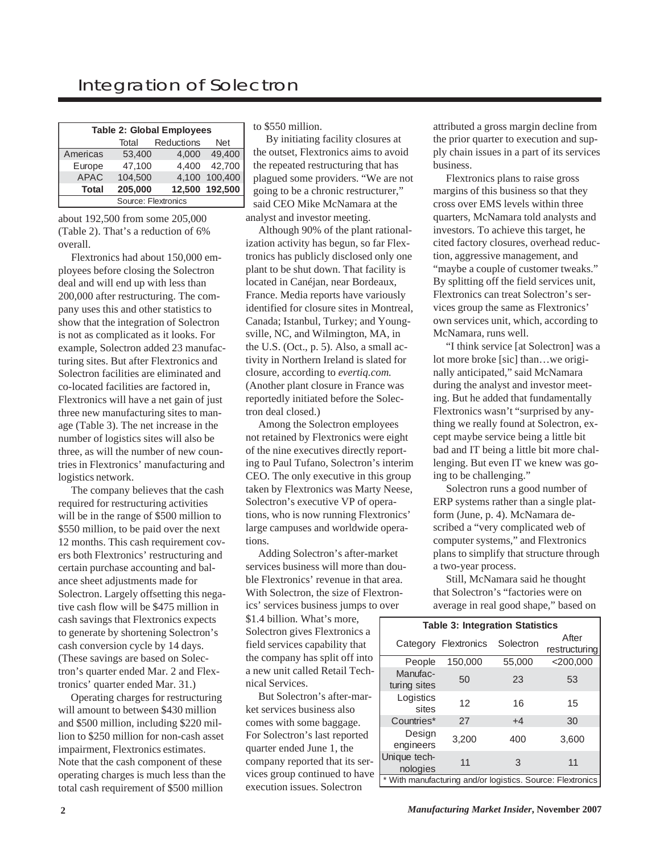### Integration of Solectron

| <b>Table 2: Global Employees</b> |         |            |                |  |  |  |  |  |  |
|----------------------------------|---------|------------|----------------|--|--|--|--|--|--|
|                                  | Total   | Reductions | Net            |  |  |  |  |  |  |
| Americas                         | 53,400  | 4,000      | 49.400         |  |  |  |  |  |  |
| Europe                           | 47.100  | 4.400      | 42,700         |  |  |  |  |  |  |
| <b>APAC</b>                      | 104.500 |            | 4,100 100,400  |  |  |  |  |  |  |
| <b>Total</b>                     | 205,000 |            | 12,500 192,500 |  |  |  |  |  |  |
| Source: Flextronics              |         |            |                |  |  |  |  |  |  |

about 192,500 from some 205,000 (Table 2). That's a reduction of 6% overall.

 Flextronics had about 150,000 employees before closing the Solectron deal and will end up with less than 200,000 after restructuring. The company uses this and other statistics to show that the integration of Solectron is not as complicated as it looks. For example, Solectron added 23 manufacturing sites. But after Flextronics and Solectron facilities are eliminated and co-located facilities are factored in, Flextronics will have a net gain of just three new manufacturing sites to manage (Table 3). The net increase in the number of logistics sites will also be three, as will the number of new countries in Flextronics' manufacturing and logistics network.

 The company believes that the cash required for restructuring activities will be in the range of \$500 million to \$550 million, to be paid over the next 12 months. This cash requirement covers both Flextronics' restructuring and certain purchase accounting and balance sheet adjustments made for Solectron. Largely offsetting this negative cash flow will be \$475 million in cash savings that Flextronics expects to generate by shortening Solectron's cash conversion cycle by 14 days. (These savings are based on Solectron's quarter ended Mar. 2 and Flextronics' quarter ended Mar. 31.)

 Operating charges for restructuring will amount to between \$430 million and \$500 million, including \$220 million to \$250 million for non-cash asset impairment, Flextronics estimates. Note that the cash component of these operating charges is much less than the total cash requirement of \$500 million

to \$550 million.

analyst and investor meeting. By initiating facility closures at the outset, Flextronics aims to avoid the repeated restructuring that has plagued some providers. "We are not going to be a chronic restructurer," said CEO Mike McNamara at the

 Although 90% of the plant rationalization activity has begun, so far Flextronics has publicly disclosed only one plant to be shut down. That facility is located in Canéjan, near Bordeaux, France. Media reports have variously identified for closure sites in Montreal, Canada; Istanbul, Turkey; and Youngsville, NC, and Wilmington, MA, in the U.S. (Oct., p. 5). Also, a small activity in Northern Ireland is slated for closure, according to *evertiq.com.* (Another plant closure in France was reportedly initiated before the Solectron deal closed.)

 Among the Solectron employees not retained by Flextronics were eight of the nine executives directly reporting to Paul Tufano, Solectron's interim CEO. The only executive in this group taken by Flextronics was Marty Neese, Solectron's executive VP of operations, who is now running Flextronics' large campuses and worldwide operations.

 Adding Solectron's after-market services business will more than double Flextronics' revenue in that area. With Solectron, the size of Flextronics' services business jumps to over

\$1.4 billion. What's more, Solectron gives Flextronics a field services capability that the company has split off into a new unit called Retail Technical Services.

 But Solectron's after-market services business also comes with some baggage. For Solectron's last reported quarter ended June 1, the company reported that its services group continued to have execution issues. Solectron

attributed a gross margin decline from the prior quarter to execution and supply chain issues in a part of its services business.

 Flextronics plans to raise gross margins of this business so that they cross over EMS levels within three quarters, McNamara told analysts and investors. To achieve this target, he cited factory closures, overhead reduction, aggressive management, and "maybe a couple of customer tweaks." By splitting off the field services unit, Flextronics can treat Solectron's services group the same as Flextronics' own services unit, which, according to McNamara, runs well.

 "I think service [at Solectron] was a lot more broke [sic] than…we originally anticipated," said McNamara during the analyst and investor meeting. But he added that fundamentally Flextronics wasn't "surprised by anything we really found at Solectron, except maybe service being a little bit bad and IT being a little bit more challenging. But even IT we knew was going to be challenging."

 Solectron runs a good number of ERP systems rather than a single platform (June, p. 4). McNamara described a "very complicated web of computer systems," and Flextronics plans to simplify that structure through a two-year process.

 Still, McNamara said he thought that Solectron's "factories were on average in real good shape," based on

| <b>Table 3: Integration Statistics</b> |                      |           |                                                            |  |  |  |  |  |  |
|----------------------------------------|----------------------|-----------|------------------------------------------------------------|--|--|--|--|--|--|
|                                        | Category Flextronics | Solectron | After                                                      |  |  |  |  |  |  |
|                                        |                      |           | restructuring                                              |  |  |  |  |  |  |
| People                                 | 150,000              | 55,000    | $<$ 200,000                                                |  |  |  |  |  |  |
| Manufac-<br>turing sites               | 50                   | 23        | 53                                                         |  |  |  |  |  |  |
| Logistics<br>sites                     | 12                   | 16        | 15                                                         |  |  |  |  |  |  |
| Countries*                             | 27                   | $+4$      | 30                                                         |  |  |  |  |  |  |
| Design<br>engineers                    | 3,200                | 400       | 3,600                                                      |  |  |  |  |  |  |
| Unique tech-<br>nologies               | 11                   | 3         | 11                                                         |  |  |  |  |  |  |
|                                        |                      |           | * With manufacturing and/or logistics. Source: Flextronics |  |  |  |  |  |  |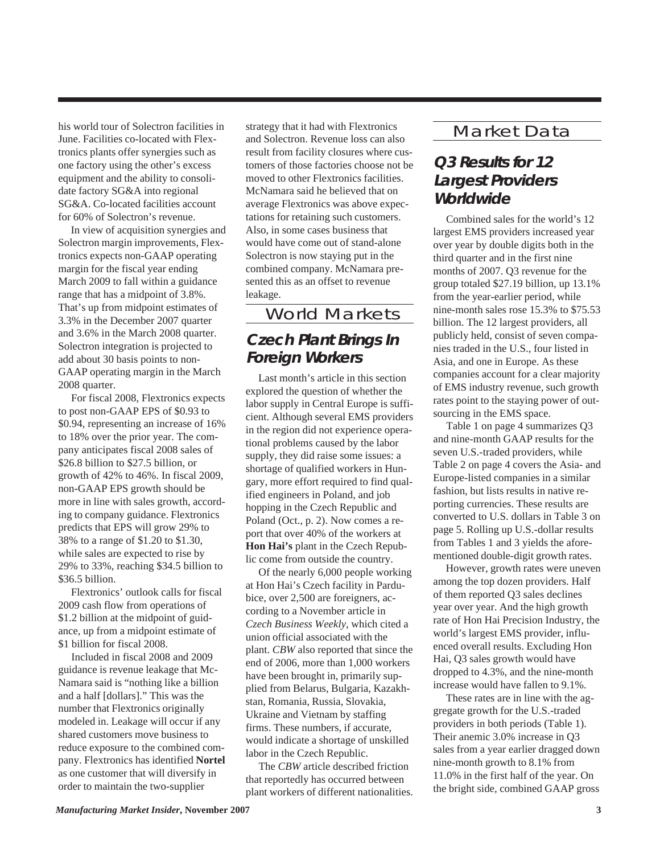his world tour of Solectron facilities in June. Facilities co-located with Flextronics plants offer synergies such as one factory using the other's excess equipment and the ability to consolidate factory SG&A into regional SG&A. Co-located facilities account for 60% of Solectron's revenue.

 In view of acquisition synergies and Solectron margin improvements, Flextronics expects non-GAAP operating margin for the fiscal year ending March 2009 to fall within a guidance range that has a midpoint of 3.8%. That's up from midpoint estimates of 3.3% in the December 2007 quarter and 3.6% in the March 2008 quarter. Solectron integration is projected to add about 30 basis points to non-GAAP operating margin in the March 2008 quarter.

 For fiscal 2008, Flextronics expects to post non-GAAP EPS of \$0.93 to \$0.94, representing an increase of 16% to 18% over the prior year. The company anticipates fiscal 2008 sales of \$26.8 billion to \$27.5 billion, or growth of 42% to 46%. In fiscal 2009, non-GAAP EPS growth should be more in line with sales growth, according to company guidance. Flextronics predicts that EPS will grow 29% to 38% to a range of \$1.20 to \$1.30, while sales are expected to rise by 29% to 33%, reaching \$34.5 billion to \$36.5 billion.

 Flextronics' outlook calls for fiscal 2009 cash flow from operations of \$1.2 billion at the midpoint of guidance, up from a midpoint estimate of \$1 billion for fiscal 2008.

 Included in fiscal 2008 and 2009 guidance is revenue leakage that Mc-Namara said is "nothing like a billion and a half [dollars]." This was the number that Flextronics originally modeled in. Leakage will occur if any shared customers move business to reduce exposure to the combined company. Flextronics has identified **Nortel** as one customer that will diversify in order to maintain the two-supplier

strategy that it had with Flextronics and Solectron. Revenue loss can also result from facility closures where customers of those factories choose not be moved to other Flextronics facilities. McNamara said he believed that on average Flextronics was above expectations for retaining such customers. Also, in some cases business that would have come out of stand-alone Solectron is now staying put in the combined company. McNamara presented this as an offset to revenue leakage.

World Markets **Czech Plant Brings In**

# **Foreign Workers**

 Last month's article in this section explored the question of whether the labor supply in Central Europe is sufficient. Although several EMS providers in the region did not experience operational problems caused by the labor supply, they did raise some issues: a shortage of qualified workers in Hungary, more effort required to find qualified engineers in Poland, and job hopping in the Czech Republic and Poland (Oct., p. 2). Now comes a report that over 40% of the workers at **Hon Hai's** plant in the Czech Republic come from outside the country.

 Of the nearly 6,000 people working at Hon Hai's Czech facility in Pardubice, over 2,500 are foreigners, according to a November article in *Czech Business Weekly,* which cited a union official associated with the plant. *CBW* also reported that since the end of 2006, more than 1,000 workers have been brought in, primarily supplied from Belarus, Bulgaria, Kazakhstan, Romania, Russia, Slovakia, Ukraine and Vietnam by staffing firms. These numbers, if accurate, would indicate a shortage of unskilled labor in the Czech Republic.

 The *CBW* article described friction that reportedly has occurred between plant workers of different nationalities.

#### Market Data

### **Q3 Results for 12 Largest Providers Worldwide**

 Combined sales for the world's 12 largest EMS providers increased year over year by double digits both in the third quarter and in the first nine months of 2007. Q3 revenue for the group totaled \$27.19 billion, up 13.1% from the year-earlier period, while nine-month sales rose 15.3% to \$75.53 billion. The 12 largest providers, all publicly held, consist of seven companies traded in the U.S., four listed in Asia, and one in Europe. As these companies account for a clear majority of EMS industry revenue, such growth rates point to the staying power of outsourcing in the EMS space.

 Table 1 on page 4 summarizes Q3 and nine-month GAAP results for the seven U.S.-traded providers, while Table 2 on page 4 covers the Asia- and Europe-listed companies in a similar fashion, but lists results in native reporting currencies. These results are converted to U.S. dollars in Table 3 on page 5. Rolling up U.S.-dollar results from Tables 1 and 3 yields the aforementioned double-digit growth rates.

 However, growth rates were uneven among the top dozen providers. Half of them reported Q3 sales declines year over year. And the high growth rate of Hon Hai Precision Industry, the world's largest EMS provider, influenced overall results. Excluding Hon Hai, Q3 sales growth would have dropped to 4.3%, and the nine-month increase would have fallen to 9.1%.

 These rates are in line with the aggregate growth for the U.S.-traded providers in both periods (Table 1). Their anemic 3.0% increase in Q3 sales from a year earlier dragged down nine-month growth to 8.1% from 11.0% in the first half of the year. On the bright side, combined GAAP gross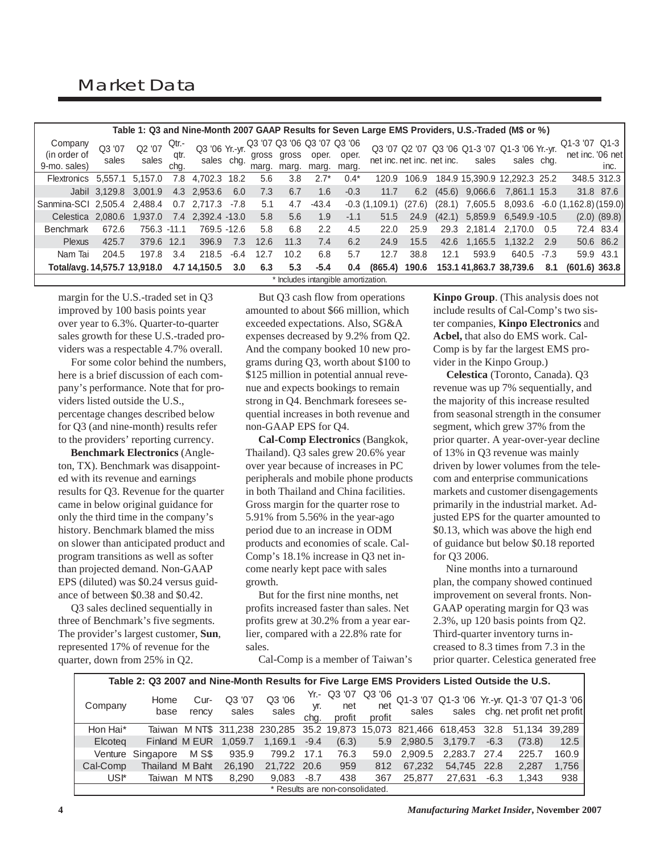|                                         | Table 1: Q3 and Nine-Month 2007 GAAP Results for Seven Large EMS Providers, U.S.-Traded (M\$ or %) |                 |                       |                              |        |                |                |                |                                               |                 |        |                            |              |                                                              |        |                              |                  |
|-----------------------------------------|----------------------------------------------------------------------------------------------------|-----------------|-----------------------|------------------------------|--------|----------------|----------------|----------------|-----------------------------------------------|-----------------|--------|----------------------------|--------------|--------------------------------------------------------------|--------|------------------------------|------------------|
| Company<br>(in order of<br>9-mo. sales) | Q3 '07<br>sales                                                                                    | Q2 '07<br>sales | Qtr.-<br>qtr.<br>chg. | Q3 '06 Yr.-yr.<br>sales chq. |        | gross<br>marg. | gross<br>marg. | oper.<br>marg. | Q3 '07 Q3 '06 Q3 '07 Q3 '06<br>oper.<br>marg. |                 |        | net inc. net inc. net inc. | sales        | Q3 '07 Q2 '07 Q3 '06 Q1-3 '07 Q1-3 '06 Yr.-yr.<br>sales chg. |        | Q1-3 '07<br>net inc. '06 net | $Q1-3$<br>inc.   |
| Flextronics                             | 5.557.1                                                                                            | 5.157.0         | 7.8                   | 4.702.3                      | 18.2   | 5.6            | 3.8            | $2.7*$         | $0.4*$                                        | 120.9           | 106.9  |                            |              | 184.9 15.390.9 12.292.3 25.2                                 |        |                              | 348.5 312.3      |
|                                         | Jabil 3,129.8                                                                                      | 3,001.9         |                       | 4.3 2,953.6                  | 6.0    | 7.3            | 6.7            | 1.6            | $-0.3$                                        | 11.7            | 6.2    | (45.6)                     | 9,066.6      | 7.861.1 15.3                                                 |        |                              | 31.8 87.6        |
| Sanmina-SCI 2.505.4                     |                                                                                                    | 2.488.4         | 0.7                   | 2.717.3                      | $-7.8$ | 5.1            | 4.7            | $-43.4$        |                                               | $-0.3(1.109.1)$ | (27.6) | (28.1)                     | 7,605.5      | 8,093.6                                                      |        | $-6.0$ (1,162.8) (159.0)     |                  |
| Celestica                               | 2.080.6                                                                                            | 1.937.0         | 7.4                   | 2.392.4 -13.0                |        | 5.8            | 5.6            | 1.9            | $-1.1$                                        | 51.5            | 24.9   | (42.1)                     | 5.859.9      | 6.549.9 -10.5                                                |        |                              | $(2.0)$ $(89.8)$ |
| <b>Benchmark</b>                        | 672.6                                                                                              | 756.3 -11.1     |                       | 769.5 -12.6                  |        | 5.8            | 6.8            | 2.2            | 4.5                                           | 22.0            | 25.9   |                            | 29.3 2.181.4 | 2.170.0                                                      | 0.5    |                              | 72.4 83.4        |
| <b>Plexus</b>                           | 425.7                                                                                              | 379.6 12.1      |                       | 396.9                        | 7.3    | 12.6           | 11.3           | 7.4            | 6.2                                           | 24.9            | 15.5   | 42.6                       | 1.165.5      | 1.132.2                                                      | 2.9    |                              | 50.6 86.2        |
| Nam Tai                                 | 204.5                                                                                              | 197.8           | 3.4                   | 218.5                        | $-6.4$ | 12.7           | 10.2           | 6.8            | 5.7                                           | 12.7            | 38.8   | 12.1                       | 593.9        | 640.5                                                        | $-7.3$ |                              | 59.9 43.1        |
| Total/avg. 14.575.7 13.918.0            |                                                                                                    |                 |                       | 4.7 14,150.5                 | 3.0    | 6.3            | 5.3            | $-5.4$         | 0.4                                           | (865.4)         | 190.6  |                            |              | 153.1 41.863.7 38.739.6                                      | 8.1    | $(601.6)$ 363.8              |                  |
|                                         | * Includes intangible amortization.                                                                |                 |                       |                              |        |                |                |                |                                               |                 |        |                            |              |                                                              |        |                              |                  |

margin for the U.S.-traded set in Q3 improved by 100 basis points year over year to 6.3%. Quarter-to-quarter sales growth for these U.S.-traded providers was a respectable 4.7% overall.

 For some color behind the numbers, here is a brief discussion of each company's performance. Note that for providers listed outside the U.S., percentage changes described below for Q3 (and nine-month) results refer to the providers' reporting currency.

 **Benchmark Electronics** (Angleton, TX). Benchmark was disappointed with its revenue and earnings results for Q3. Revenue for the quarter came in below original guidance for only the third time in the company's history. Benchmark blamed the miss on slower than anticipated product and program transitions as well as softer than projected demand. Non-GAAP EPS (diluted) was \$0.24 versus guidance of between \$0.38 and \$0.42.

 Q3 sales declined sequentially in three of Benchmark's five segments. The provider's largest customer, **Sun**, represented 17% of revenue for the quarter, down from 25% in Q2.

 But Q3 cash flow from operations amounted to about \$66 million, which exceeded expectations. Also, SG&A expenses decreased by 9.2% from Q2. And the company booked 10 new programs during Q3, worth about \$100 to \$125 million in potential annual revenue and expects bookings to remain strong in Q4. Benchmark foresees sequential increases in both revenue and non-GAAP EPS for Q4.

 **Cal-Comp Electronics** (Bangkok, Thailand). Q3 sales grew 20.6% year over year because of increases in PC peripherals and mobile phone products in both Thailand and China facilities. Gross margin for the quarter rose to 5.91% from 5.56% in the year-ago period due to an increase in ODM products and economies of scale. Cal-Comp's 18.1% increase in Q3 net income nearly kept pace with sales growth.

 But for the first nine months, net profits increased faster than sales. Net profits grew at 30.2% from a year earlier, compared with a 22.8% rate for sales.

Cal-Comp is a member of Taiwan's

**Kinpo Group**. (This analysis does not include results of Cal-Comp's two sister companies, **Kinpo Electronics** and **Acbel,** that also do EMS work. Cal-Comp is by far the largest EMS provider in the Kinpo Group.)

 **Celestica** (Toronto, Canada). Q3 revenue was up 7% sequentially, and the majority of this increase resulted from seasonal strength in the consumer segment, which grew 37% from the prior quarter. A year-over-year decline of 13% in Q3 revenue was mainly driven by lower volumes from the telecom and enterprise communications markets and customer disengagements primarily in the industrial market. Adjusted EPS for the quarter amounted to \$0.13, which was above the high end of guidance but below \$0.18 reported for Q3 2006.

 Nine months into a turnaround plan, the company showed continued improvement on several fronts. Non-GAAP operating margin for Q3 was 2.3%, up 120 basis points from Q2. Third-quarter inventory turns increased to 8.3 times from 7.3 in the prior quarter. Celestica generated free

|          | Table 2: Q3 2007 and Nine-Month Results for Five Large EMS Providers Listed Outside the U.S. |               |                 |                                                                      |             |                              |               |                                                             |              |        |                                  |               |
|----------|----------------------------------------------------------------------------------------------|---------------|-----------------|----------------------------------------------------------------------|-------------|------------------------------|---------------|-------------------------------------------------------------|--------------|--------|----------------------------------|---------------|
| Company  | Home<br>base                                                                                 | Cur-<br>rency | Q3 '07<br>sales | Q3 '06<br>sales                                                      | yr.<br>cha. | Yr.- Q3 '07<br>net<br>profit | net<br>profit | Q3 '06 Q1-3 '07 Q1-3 '06 Yr.-yr. Q1-3 '07 Q1-3 '06<br>sales |              |        | sales chg. net profit net profit |               |
| Hon Hai* |                                                                                              |               |                 | Taiwan MNT\$ 311,238 230,285 35.2 19,873 15,073 821,466 618,453 32.8 |             |                              |               |                                                             |              |        |                                  | 51,134 39,289 |
| Elcoteg  |                                                                                              | Finland M EUR | 1,059.7         | 1.169.1                                                              | $-9.4$      | (6.3)                        | 5.9           | 2,980.5 3,179.7                                             |              | $-6.3$ | (73.8)                           | 12.5          |
|          | Venture Singapore                                                                            | M S\$         | 935.9           | 799.2 17.1                                                           |             | 76.3                         | 59.0          | 2.909.5                                                     | 2.283.7 27.4 |        | 225.7                            | 160.9         |
| Cal-Comp | Thailand M Baht                                                                              |               | 26.190          | 21.722 20.6                                                          |             | 959                          | 812           | 67,232                                                      | 54,745       | 22.8   | 2,287                            | 1,756         |
| USI*     |                                                                                              | Taiwan M NT\$ | 8.290           | 9.083                                                                | $-8.7$      | 438                          | 367           | 25.877                                                      | 27.631       | $-6.3$ | 1,343                            | 938           |
|          | * Results are non-consolidated.                                                              |               |                 |                                                                      |             |                              |               |                                                             |              |        |                                  |               |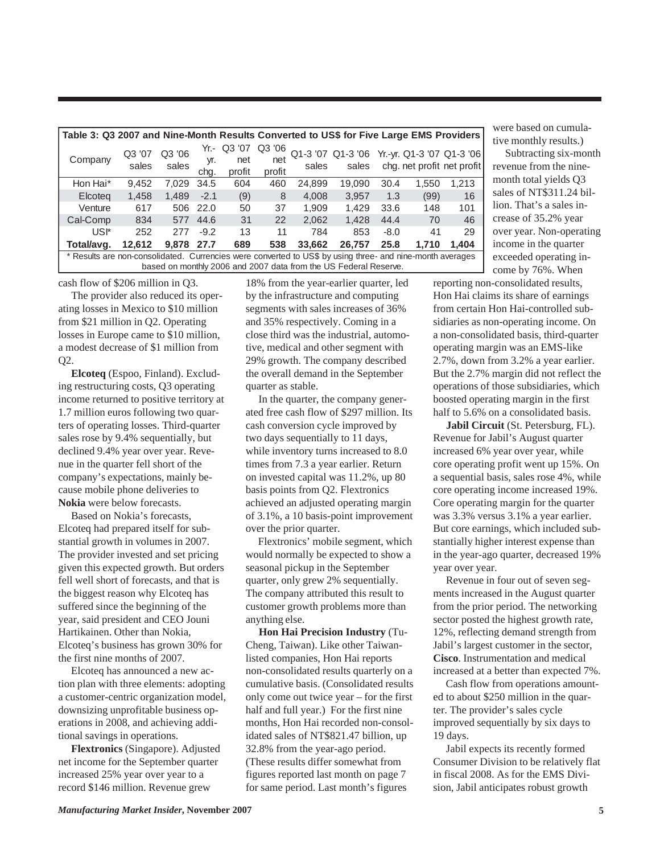| Table 3: Q3 2007 and Nine-Month Results Converted to US\$ for Five Large EMS Providers                    |                 |                 |                     |                         |                         |        |                                                      |        |       |                            |
|-----------------------------------------------------------------------------------------------------------|-----------------|-----------------|---------------------|-------------------------|-------------------------|--------|------------------------------------------------------|--------|-------|----------------------------|
| Company                                                                                                   | Q3 '07<br>sales | Q3 '06<br>sales | Yr.-<br>yr.<br>chq. | Q3 '07<br>net<br>profit | Q3 '06<br>net<br>profit | sales  | Q1-3 '07 Q1-3 '06 Yr.-yr. Q1-3 '07 Q1-3 '06<br>sales |        |       | chg. net profit net profit |
| Hon Hai*                                                                                                  | 9.452           | 7.029           | 34.5                | 604                     | 460                     | 24,899 | 19.090                                               | 30.4   | 1.550 | 1.213                      |
| Elcoteg                                                                                                   | 1,458           | 1.489           | $-2.1$              | (9)                     | 8                       | 4,008  | 3,957                                                | 1.3    | (99)  | 16                         |
| Venture                                                                                                   | 617             | 506             | 22.0                | 50                      | 37                      | 1.909  | 1.429                                                | 33.6   | 148   | 101                        |
| Cal-Comp                                                                                                  | 834             | 577             | 44.6                | 31                      | 22                      | 2.062  | 1,428                                                | 44.4   | 70    | 46                         |
| USI*                                                                                                      | 252             | 277             | $-9.2$              | 13                      | 11                      | 784    | 853                                                  | $-8.0$ | 41    | 29                         |
| Total/avg.                                                                                                | 12.612          | 9.878           | 27.7                | 689                     | 538                     | 33,662 | 26.757                                               | 25.8   | 1.710 | 1.404                      |
| * Results are non-consolidated. Currencies were converted to US\$ by using three- and nine-month averages |                 |                 |                     |                         |                         |        |                                                      |        |       |                            |

based on monthly 2006 and 2007 data from the US Federal Reserve.

cash flow of \$206 million in Q3.

 The provider also reduced its operating losses in Mexico to \$10 million from \$21 million in Q2. Operating losses in Europe came to \$10 million, a modest decrease of \$1 million from Q2.

 **Elcoteq** (Espoo, Finland). Excluding restructuring costs, Q3 operating income returned to positive territory at 1.7 million euros following two quarters of operating losses. Third-quarter sales rose by 9.4% sequentially, but declined 9.4% year over year. Revenue in the quarter fell short of the company's expectations, mainly because mobile phone deliveries to **Nokia** were below forecasts.

 Based on Nokia's forecasts, Elcoteq had prepared itself for substantial growth in volumes in 2007. The provider invested and set pricing given this expected growth. But orders fell well short of forecasts, and that is the biggest reason why Elcoteq has suffered since the beginning of the year, said president and CEO Jouni Hartikainen. Other than Nokia, Elcoteq's business has grown 30% for the first nine months of 2007.

 Elcoteq has announced a new action plan with three elements: adopting a customer-centric organization model, downsizing unprofitable business operations in 2008, and achieving additional savings in operations.

 **Flextronics** (Singapore). Adjusted net income for the September quarter increased 25% year over year to a record \$146 million. Revenue grew

18% from the year-earlier quarter, led by the infrastructure and computing segments with sales increases of 36% and 35% respectively. Coming in a close third was the industrial, automotive, medical and other segment with 29% growth. The company described the overall demand in the September quarter as stable.

 In the quarter, the company generated free cash flow of \$297 million. Its cash conversion cycle improved by two days sequentially to 11 days, while inventory turns increased to 8.0 times from 7.3 a year earlier. Return on invested capital was 11.2%, up 80 basis points from Q2. Flextronics achieved an adjusted operating margin of 3.1%, a 10 basis-point improvement over the prior quarter.

 Flextronics' mobile segment, which would normally be expected to show a seasonal pickup in the September quarter, only grew 2% sequentially. The company attributed this result to customer growth problems more than anything else.

 **Hon Hai Precision Industry** (Tu-Cheng, Taiwan). Like other Taiwanlisted companies, Hon Hai reports non-consolidated results quarterly on a cumulative basis. (Consolidated results only come out twice year – for the first half and full year.) For the first nine months, Hon Hai recorded non-consolidated sales of NT\$821.47 billion, up 32.8% from the year-ago period. (These results differ somewhat from figures reported last month on page 7 for same period. Last month's figures

were based on cumulative monthly results.)

 Subtracting six-month revenue from the ninemonth total yields Q3 sales of NT\$311.24 billion. That's a sales increase of 35.2% year over year. Non-operating income in the quarter exceeded operating income by 76%. When

reporting non-consolidated results, Hon Hai claims its share of earnings from certain Hon Hai-controlled subsidiaries as non-operating income. On a non-consolidated basis, third-quarter operating margin was an EMS-like 2.7%, down from 3.2% a year earlier. But the 2.7% margin did not reflect the operations of those subsidiaries, which boosted operating margin in the first half to 5.6% on a consolidated basis.

 **Jabil Circuit** (St. Petersburg, FL). Revenue for Jabil's August quarter increased 6% year over year, while core operating profit went up 15%. On a sequential basis, sales rose 4%, while core operating income increased 19%. Core operating margin for the quarter was 3.3% versus 3.1% a year earlier. But core earnings, which included substantially higher interest expense than in the year-ago quarter, decreased 19% year over year.

 Revenue in four out of seven segments increased in the August quarter from the prior period. The networking sector posted the highest growth rate, 12%, reflecting demand strength from Jabil's largest customer in the sector, **Cisco**. Instrumentation and medical increased at a better than expected 7%.

 Cash flow from operations amounted to about \$250 million in the quarter. The provider's sales cycle improved sequentially by six days to 19 days.

 Jabil expects its recently formed Consumer Division to be relatively flat in fiscal 2008. As for the EMS Division, Jabil anticipates robust growth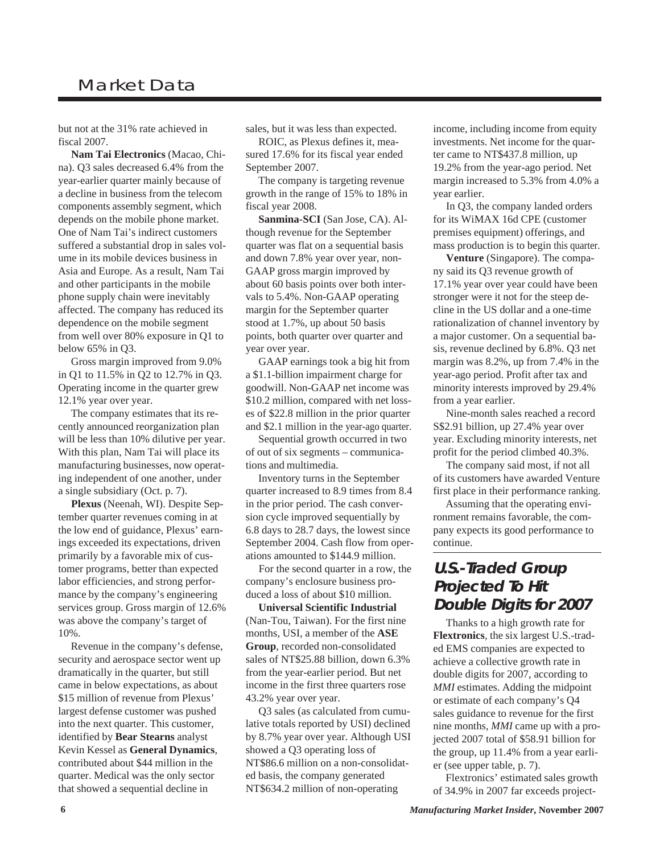## Market Data

but not at the 31% rate achieved in fiscal 2007.

 **Nam Tai Electronics** (Macao, China). Q3 sales decreased 6.4% from the year-earlier quarter mainly because of a decline in business from the telecom components assembly segment, which depends on the mobile phone market. One of Nam Tai's indirect customers suffered a substantial drop in sales volume in its mobile devices business in Asia and Europe. As a result, Nam Tai and other participants in the mobile phone supply chain were inevitably affected. The company has reduced its dependence on the mobile segment from well over 80% exposure in Q1 to below 65% in Q3.

 Gross margin improved from 9.0% in Q1 to 11.5% in Q2 to 12.7% in Q3. Operating income in the quarter grew 12.1% year over year.

 The company estimates that its recently announced reorganization plan will be less than 10% dilutive per year. With this plan, Nam Tai will place its manufacturing businesses, now operating independent of one another, under a single subsidiary (Oct. p. 7).

 **Plexus** (Neenah, WI). Despite September quarter revenues coming in at the low end of guidance, Plexus' earnings exceeded its expectations, driven primarily by a favorable mix of customer programs, better than expected labor efficiencies, and strong performance by the company's engineering services group. Gross margin of 12.6% was above the company's target of 10%.

 Revenue in the company's defense, security and aerospace sector went up dramatically in the quarter, but still came in below expectations, as about \$15 million of revenue from Plexus' largest defense customer was pushed into the next quarter. This customer, identified by **Bear Stearns** analyst Kevin Kessel as **General Dynamics**, contributed about \$44 million in the quarter. Medical was the only sector that showed a sequential decline in

sales, but it was less than expected.

 ROIC, as Plexus defines it, measured 17.6% for its fiscal year ended September 2007.

 The company is targeting revenue growth in the range of 15% to 18% in fiscal year 2008.

 **Sanmina-SCI** (San Jose, CA). Although revenue for the September quarter was flat on a sequential basis and down 7.8% year over year, non-GAAP gross margin improved by about 60 basis points over both intervals to 5.4%. Non-GAAP operating margin for the September quarter stood at 1.7%, up about 50 basis points, both quarter over quarter and year over year.

 GAAP earnings took a big hit from a \$1.1-billion impairment charge for goodwill. Non-GAAP net income was \$10.2 million, compared with net losses of \$22.8 million in the prior quarter and \$2.1 million in the year-ago quarter.

 Sequential growth occurred in two of out of six segments – communications and multimedia.

 Inventory turns in the September quarter increased to 8.9 times from 8.4 in the prior period. The cash conversion cycle improved sequentially by 6.8 days to 28.7 days, the lowest since September 2004. Cash flow from operations amounted to \$144.9 million.

 For the second quarter in a row, the company's enclosure business produced a loss of about \$10 million.

 **Universal Scientific Industrial** (Nan-Tou, Taiwan). For the first nine months, USI, a member of the **ASE Group**, recorded non-consolidated sales of NT\$25.88 billion, down 6.3% from the year-earlier period. But net income in the first three quarters rose 43.2% year over year.

 Q3 sales (as calculated from cumulative totals reported by USI) declined by 8.7% year over year. Although USI showed a Q3 operating loss of NT\$86.6 million on a non-consolidated basis, the company generated NT\$634.2 million of non-operating

income, including income from equity investments. Net income for the quarter came to NT\$437.8 million, up 19.2% from the year-ago period. Net margin increased to 5.3% from 4.0% a year earlier.

 In Q3, the company landed orders for its WiMAX 16d CPE (customer premises equipment) offerings, and mass production is to begin this quarter.

 **Venture** (Singapore). The company said its Q3 revenue growth of 17.1% year over year could have been stronger were it not for the steep decline in the US dollar and a one-time rationalization of channel inventory by a major customer. On a sequential basis, revenue declined by 6.8%. Q3 net margin was 8.2%, up from 7.4% in the year-ago period. Profit after tax and minority interests improved by 29.4% from a year earlier.

 Nine-month sales reached a record S\$2.91 billion, up 27.4% year over year. Excluding minority interests, net profit for the period climbed 40.3%.

 The company said most, if not all of its customers have awarded Venture first place in their performance ranking.

 Assuming that the operating environment remains favorable, the company expects its good performance to continue.

### **U.S.-Traded Group Projected To Hit Double Digits for 2007**

 Thanks to a high growth rate for **Flextronics**, the six largest U.S.-traded EMS companies are expected to achieve a collective growth rate in double digits for 2007, according to *MMI* estimates. Adding the midpoint or estimate of each company's Q4 sales guidance to revenue for the first nine months, *MMI* came up with a projected 2007 total of \$58.91 billion for the group, up 11.4% from a year earlier (see upper table, p. 7).

 Flextronics' estimated sales growth of 34.9% in 2007 far exceeds project-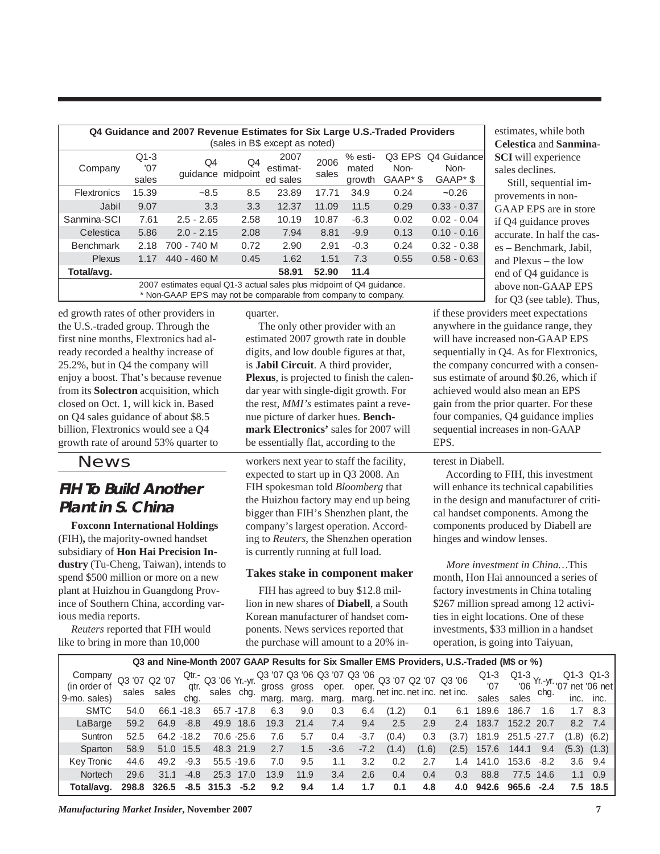| Q4 Guidance and 2007 Revenue Estimates for Six Large U.S.-Traded Providers |              |                                                                      |      |          |       |         |                      |               |  |  |
|----------------------------------------------------------------------------|--------------|----------------------------------------------------------------------|------|----------|-------|---------|----------------------|---------------|--|--|
| (sales in B\$ except as noted)                                             |              |                                                                      |      |          |       |         |                      |               |  |  |
|                                                                            | $Q1-3$<br>Q4 |                                                                      | Q4   | 2007     | 2006  | % esti- | Q3 EPS               | Q4 Guidance   |  |  |
| Company                                                                    | '07          | quidance midpoint                                                    |      | estimat- | sales | mated   | Non-                 | Non-          |  |  |
|                                                                            | sales        |                                                                      |      | ed sales |       | growth  | GAAP <sup>*</sup> \$ | GAAP*\$       |  |  |
| <b>Flextronics</b>                                                         | 15.39        | $-8.5$                                                               | 8.5  | 23.89    | 17.71 | 34.9    | 0.24                 | $-0.26$       |  |  |
| Jabil                                                                      | 9.07         | 3.3                                                                  | 3.3  | 12.37    | 11.09 | 11.5    | 0.29                 | $0.33 - 0.37$ |  |  |
| Sanmina-SCI                                                                | 7.61         | $2.5 - 2.65$                                                         | 2.58 | 10.19    | 10.87 | $-6.3$  | 0.02                 | $0.02 - 0.04$ |  |  |
| Celestica                                                                  | 5.86         | $2.0 - 2.15$                                                         | 2.08 | 7.94     | 8.81  | $-9.9$  | 0.13                 | $0.10 - 0.16$ |  |  |
| <b>Benchmark</b>                                                           | 2.18         | 700 - 740 M                                                          | 0.72 | 2.90     | 2.91  | $-0.3$  | 0.24                 | $0.32 - 0.38$ |  |  |
| <b>Plexus</b>                                                              | 1.17         | 440 - 460 M                                                          | 0.45 | 1.62     | 1.51  | 7.3     | 0.55                 | $0.58 - 0.63$ |  |  |
| Total/avg.                                                                 |              |                                                                      |      | 58.91    | 52.90 | 11.4    |                      |               |  |  |
|                                                                            |              | 2007 estimates equal Q1-3 actual sales plus midpoint of Q4 guidance. |      |          |       |         |                      |               |  |  |
| * Non-GAAP EPS may not be comparable from company to company.              |              |                                                                      |      |          |       |         |                      |               |  |  |

ed growth rates of other providers in the U.S.-traded group. Through the first nine months, Flextronics had already recorded a healthy increase of 25.2%, but in Q4 the company will enjoy a boost. That's because revenue from its **Solectron** acquisition, which closed on Oct. 1, will kick in. Based on Q4 sales guidance of about \$8.5 billion, Flextronics would see a Q4 growth rate of around 53% quarter to

News

## **FIH To Build Another Plant in S. China**

 **Foxconn International Holdings** (FIH)**,** the majority-owned handset subsidiary of **Hon Hai Precision Industry** (Tu-Cheng, Taiwan), intends to spend \$500 million or more on a new plant at Huizhou in Guangdong Province of Southern China, according various media reports.

 *Reuters* reported that FIH would like to bring in more than 10,000

quarter.

 The only other provider with an estimated 2007 growth rate in double digits, and low double figures at that, is **Jabil Circuit**. A third provider, **Plexus**, is projected to finish the calendar year with single-digit growth. For the rest, *MMI's* estimates paint a revenue picture of darker hues. **Benchmark Electronics'** sales for 2007 will be essentially flat, according to the

workers next year to staff the facility, expected to start up in Q3 2008. An FIH spokesman told *Bloomberg* that the Huizhou factory may end up being bigger than FIH's Shenzhen plant, the company's largest operation. According to *Reuters*, the Shenzhen operation is currently running at full load.

#### **Takes stake in component maker**

 FIH has agreed to buy \$12.8 million in new shares of **Diabell**, a South Korean manufacturer of handset components. News services reported that the purchase will amount to a 20% in-

estimates, while both **Celestica** and **Sanmina-SCI** will experience sales declines.

 Still, sequential improvements in non-GAAP EPS are in store if Q4 guidance proves accurate. In half the cases – Benchmark, Jabil, and Plexus – the low end of Q4 guidance is above non-GAAP EPS for Q3 (see table). Thus,

if these providers meet expectations anywhere in the guidance range, they will have increased non-GAAP EPS sequentially in Q4. As for Flextronics, the company concurred with a consensus estimate of around \$0.26, which if achieved would also mean an EPS gain from the prior quarter. For these four companies, Q4 guidance implies sequential increases in non-GAAP EPS.

#### terest in Diabell.

 According to FIH, this investment will enhance its technical capabilities in the design and manufacturer of critical handset components. Among the components produced by Diabell are hinges and window lenses.

 *More investment in China…*This month, Hon Hai announced a series of factory investments in China totaling \$267 million spread among 12 activities in eight locations. One of these investments, \$33 million in a handset operation, is going into Taiyuan,

|              | Q3 and Nine-Month 2007 GAAP Results for Six Smaller EMS Providers, U.S.-Traded (M\$ or %) |       |              |                                               |            |      |             |        |             |       |       |                                                                                                               |       |                          |           |       |                 |
|--------------|-------------------------------------------------------------------------------------------|-------|--------------|-----------------------------------------------|------------|------|-------------|--------|-------------|-------|-------|---------------------------------------------------------------------------------------------------------------|-------|--------------------------|-----------|-------|-----------------|
| Company      | Q3 '07 Q2 '07                                                                             |       |              | $\frac{Qtr}{dt}$ Q3 '06 Yr.-yr.<br>sales chg. |            |      |             |        |             |       |       | 03 '07 03 '06 03 '07 03 '06 03 '07 02 '07 03 '06 01-3<br>1. gross gross oper. oper. et inc. net inc. net inc. |       | Q1-3 Yr.-yr. $_{07}$ not |           |       | Q1-3 Q1-3       |
| (in order of | sales                                                                                     | sales | qtr.<br>chg. |                                               |            |      |             |        |             |       |       |                                                                                                               |       |                          |           |       | net '06 net     |
| 9-mo. sales) |                                                                                           |       |              |                                               |            |      | marg. marg. |        | marg. marg. |       |       |                                                                                                               | sales | sales                    |           |       | inc. inc.       |
| <b>SMTC</b>  | 54.0                                                                                      | 66.1  | $-18.3$      | 65.7 -17.8                                    |            | 6.3  | 9.0         | 0.3    | 6.4         | (1.2) | 0.1   | 6.1                                                                                                           | 189.6 | 186.7                    | 1.6       | 1.7   | - 8.3           |
| LaBarge      | 59.2                                                                                      | 64.9  | $-8.8$       |                                               | 49.9 18.6  | 19.3 | 21.4        | 7.4    | 9.4         | 2.5   | 2.9   | 2.4                                                                                                           | 183.7 | 152.2 20.7               |           |       | 8.2 7.4         |
| Suntron      | 52.5                                                                                      |       | 64.2 -18.2   |                                               | 70.6 -25.6 | 7.6  | 5.7         | 0.4    | $-3.7$      | (0.4) | 0.3   | (3.7)                                                                                                         | 181.9 | 251.5 -27.7              |           | (1.8) | (6.2)           |
| Sparton      | 58.9                                                                                      | 51.0  | 15.5         | 48.3 21.9                                     |            | 2.7  | 1.5         | $-3.6$ | $-7.2$      | (1.4) | (1.6) | (2.5)                                                                                                         | 157.6 | 144.1                    | 9.4       |       | $(5.3)$ $(1.3)$ |
| Kev Tronic   | 44.6                                                                                      | 49.2  | $-9.3$       | $55.5 - 19.6$                                 |            | 7.0  | 9.5         | 1.1    | 3.2         | 0.2   | 2.7   | 1.4                                                                                                           | 141.0 | 153.6                    | $-8.2$    |       | $3.6$ $9.4$     |
| Nortech      | 29.6                                                                                      | 31.1  | $-4.8$       | 25.3                                          | 17.0       | 13.9 | 11.9        | 3.4    | 2.6         | 0.4   | 0.4   | 0.3                                                                                                           | 88.8  |                          | 77.5 14.6 |       | $1.1 \quad 0.9$ |
| Total/avg.   | 298.8                                                                                     | 326.5 | $-8.5$       | 315.3                                         | $-5.2$     | 9.2  | 9.4         | 1.4    | 1.7         | 0.1   | 4.8   | 4.0                                                                                                           | 942.6 | 965.6                    | $-2.4$    |       | 7.5 18.5        |

*Manufacturing Market Insider***, November 2007 7**